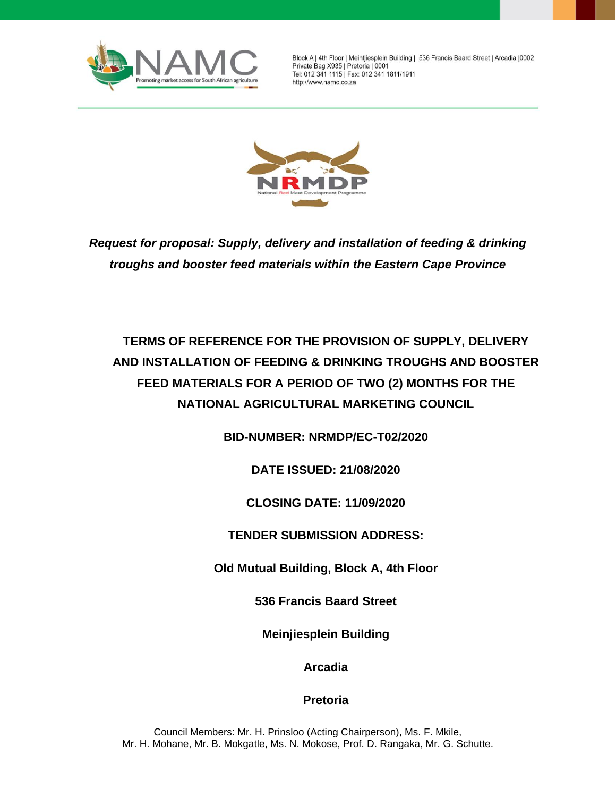

Block A | 4th Floor | Meintjiesplein Building | 536 Francis Baard Street | Arcadia | 0002 Private Bag X935 | Pretoria | 0001 Tel: 012 341 1115 | Fax: 012 341 1811/1911 http://www.namc.co.za



*Request for proposal: Supply, delivery and installation of feeding & drinking troughs and booster feed materials within the Eastern Cape Province*

# **TERMS OF REFERENCE FOR THE PROVISION OF SUPPLY, DELIVERY AND INSTALLATION OF FEEDING & DRINKING TROUGHS AND BOOSTER FEED MATERIALS FOR A PERIOD OF TWO (2) MONTHS FOR THE NATIONAL AGRICULTURAL MARKETING COUNCIL**

**BID-NUMBER: NRMDP/EC-T02/2020**

**DATE ISSUED: 21/08/2020**

**CLOSING DATE: 11/09/2020**

**TENDER SUBMISSION ADDRESS:**

**Old Mutual Building, Block A, 4th Floor**

**536 Francis Baard Street**

**Meinjiesplein Building** 

**Arcadia**

**Pretoria**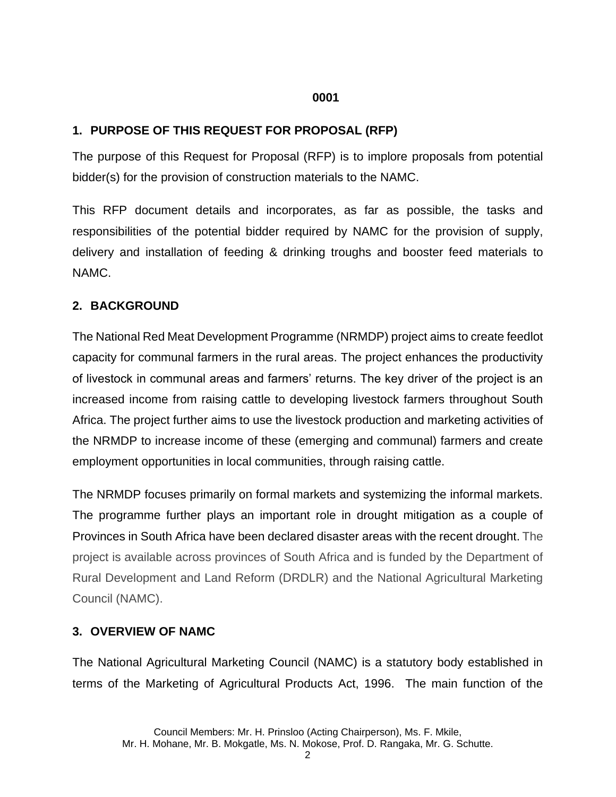#### **0001**

## **1. PURPOSE OF THIS REQUEST FOR PROPOSAL (RFP)**

The purpose of this Request for Proposal (RFP) is to implore proposals from potential bidder(s) for the provision of construction materials to the NAMC.

This RFP document details and incorporates, as far as possible, the tasks and responsibilities of the potential bidder required by NAMC for the provision of supply, delivery and installation of feeding & drinking troughs and booster feed materials to NAMC.

## **2. BACKGROUND**

The National Red Meat Development Programme (NRMDP) project aims to create feedlot capacity for communal farmers in the rural areas. The project enhances the productivity of livestock in communal areas and farmers' returns. The key driver of the project is an increased income from raising cattle to developing livestock farmers throughout South Africa. The project further aims to use the livestock production and marketing activities of the NRMDP to increase income of these (emerging and communal) farmers and create employment opportunities in local communities, through raising cattle.

The NRMDP focuses primarily on formal markets and systemizing the informal markets. The programme further plays an important role in drought mitigation as a couple of Provinces in South Africa have been declared disaster areas with the recent drought. The project is available across provinces of South Africa and is funded by the Department of Rural Development and Land Reform (DRDLR) and the National Agricultural Marketing Council (NAMC).

## **3. OVERVIEW OF NAMC**

The National Agricultural Marketing Council (NAMC) is a statutory body established in terms of the Marketing of Agricultural Products Act, 1996. The main function of the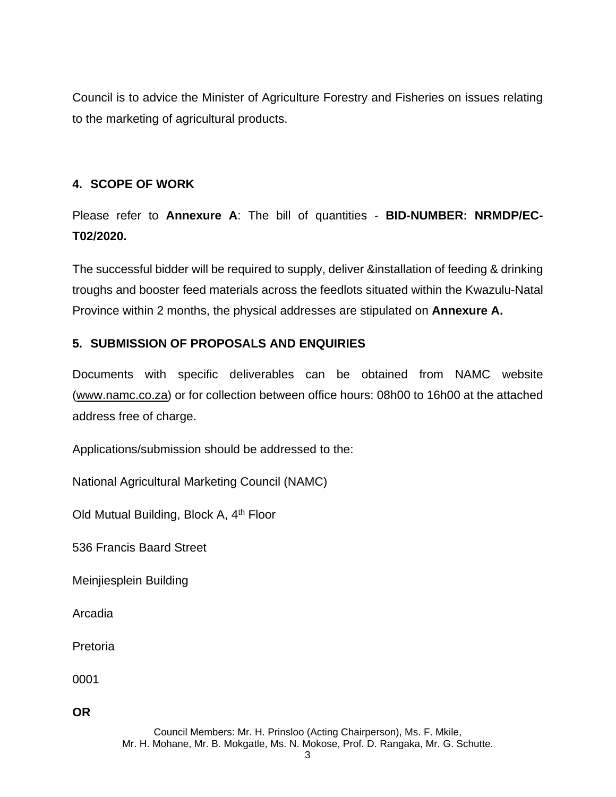Council is to advice the Minister of Agriculture Forestry and Fisheries on issues relating to the marketing of agricultural products.

## **4. SCOPE OF WORK**

Please refer to **Annexure A**: The bill of quantities - **BID-NUMBER: NRMDP/EC-T02/2020.**

The successful bidder will be required to supply, deliver &installation of feeding & drinking troughs and booster feed materials across the feedlots situated within the Kwazulu-Natal Province within 2 months, the physical addresses are stipulated on **Annexure A.** 

## **5. SUBMISSION OF PROPOSALS AND ENQUIRIES**

Documents with specific deliverables can be obtained from NAMC website [\(www.namc.co.za\)](http://www.namc.co.za/) or for collection between office hours: 08h00 to 16h00 at the attached address free of charge.

Applications/submission should be addressed to the:

National Agricultural Marketing Council (NAMC)

Old Mutual Building, Block A, 4<sup>th</sup> Floor

536 Francis Baard Street

Meinjiesplein Building

Arcadia

Pretoria

0001

**OR**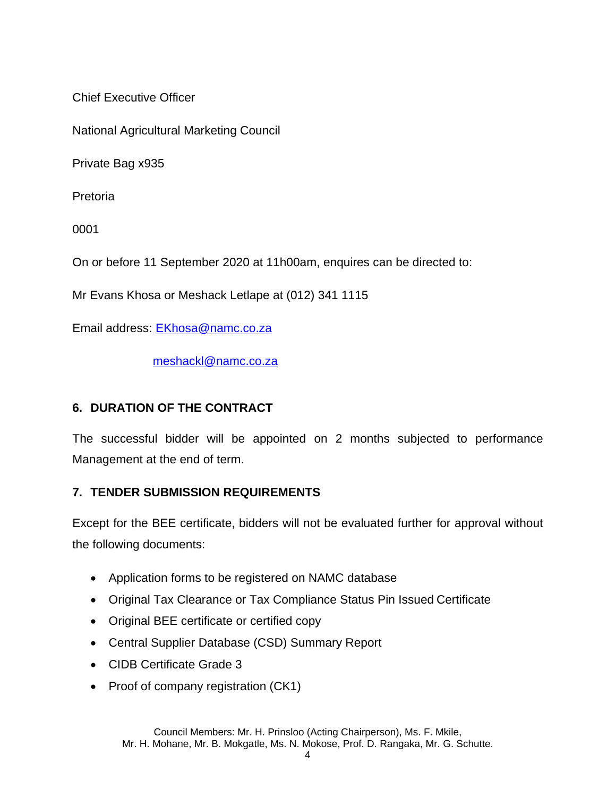Chief Executive Officer

National Agricultural Marketing Council

Private Bag x935

Pretoria

0001

On or before 11 September 2020 at 11h00am, enquires can be directed to:

Mr Evans Khosa or Meshack Letlape at (012) 341 1115

Email address: [EKhosa@namc.co.za](mailto:EKhosa@namc.co.za)

[meshackl@namc.co.za](mailto:meshackl@namc.co.za)

### **6. DURATION OF THE CONTRACT**

The successful bidder will be appointed on 2 months subjected to performance Management at the end of term.

### **7. TENDER SUBMISSION REQUIREMENTS**

Except for the BEE certificate, bidders will not be evaluated further for approval without the following documents:

- Application forms to be registered on NAMC database
- Original Tax Clearance or Tax Compliance Status Pin Issued Certificate
- Original BEE certificate or certified copy
- Central Supplier Database (CSD) Summary Report
- CIDB Certificate Grade 3
- Proof of company registration (CK1)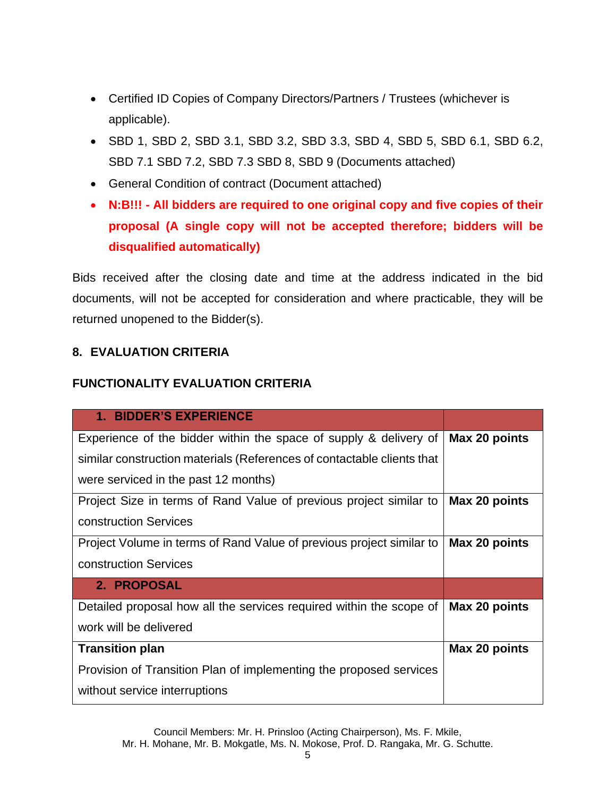- Certified ID Copies of Company Directors/Partners / Trustees (whichever is applicable).
- SBD 1, SBD 2, SBD 3.1, SBD 3.2, SBD 3.3, SBD 4, SBD 5, SBD 6.1, SBD 6.2, SBD 7.1 SBD 7.2, SBD 7.3 SBD 8, SBD 9 (Documents attached)
- General Condition of contract (Document attached)
- **N:B!!! - All bidders are required to one original copy and five copies of their proposal (A single copy will not be accepted therefore; bidders will be disqualified automatically)**

Bids received after the closing date and time at the address indicated in the bid documents, will not be accepted for consideration and where practicable, they will be returned unopened to the Bidder(s).

### **8. EVALUATION CRITERIA**

#### **FUNCTIONALITY EVALUATION CRITERIA**

| <b>1. BIDDER'S EXPERIENCE</b>                                          |               |
|------------------------------------------------------------------------|---------------|
| Experience of the bidder within the space of supply & delivery of      | Max 20 points |
| similar construction materials (References of contactable clients that |               |
| were serviced in the past 12 months)                                   |               |
| Project Size in terms of Rand Value of previous project similar to     | Max 20 points |
| construction Services                                                  |               |
| Project Volume in terms of Rand Value of previous project similar to   | Max 20 points |
| construction Services                                                  |               |
| 2. PROPOSAL                                                            |               |
| Detailed proposal how all the services required within the scope of    | Max 20 points |
| work will be delivered                                                 |               |
| <b>Transition plan</b>                                                 | Max 20 points |
| Provision of Transition Plan of implementing the proposed services     |               |
| without service interruptions                                          |               |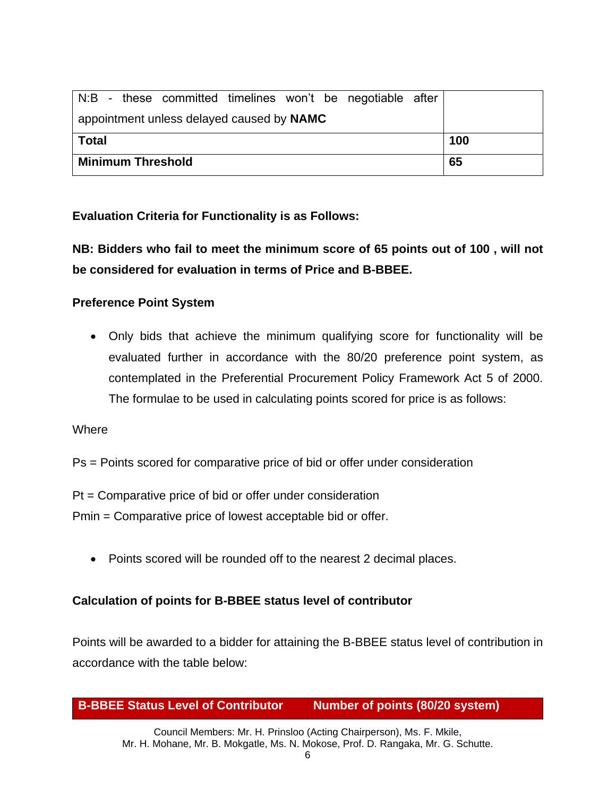|                                           |  | N:B - these committed timelines won't be negotiable after |  |  |    |  |  |     |
|-------------------------------------------|--|-----------------------------------------------------------|--|--|----|--|--|-----|
| appointment unless delayed caused by NAMC |  |                                                           |  |  |    |  |  |     |
| <b>Total</b>                              |  |                                                           |  |  |    |  |  | 100 |
| <b>Minimum Threshold</b>                  |  |                                                           |  |  | 65 |  |  |     |

**Evaluation Criteria for Functionality is as Follows:**

**NB: Bidders who fail to meet the minimum score of 65 points out of 100 , will not be considered for evaluation in terms of Price and B-BBEE.** 

### **Preference Point System**

• Only bids that achieve the minimum qualifying score for functionality will be evaluated further in accordance with the 80/20 preference point system, as contemplated in the Preferential Procurement Policy Framework Act 5 of 2000. The formulae to be used in calculating points scored for price is as follows:

**Where** 

Ps = Points scored for comparative price of bid or offer under consideration

Pt = Comparative price of bid or offer under consideration

Pmin = Comparative price of lowest acceptable bid or offer.

• Points scored will be rounded off to the nearest 2 decimal places.

### **Calculation of points for B-BBEE status level of contributor**

Points will be awarded to a bidder for attaining the B-BBEE status level of contribution in accordance with the table below:

| <b>B-BBEE Status Level of Contributor</b> | Number of points (80/20 system) |
|-------------------------------------------|---------------------------------|
|-------------------------------------------|---------------------------------|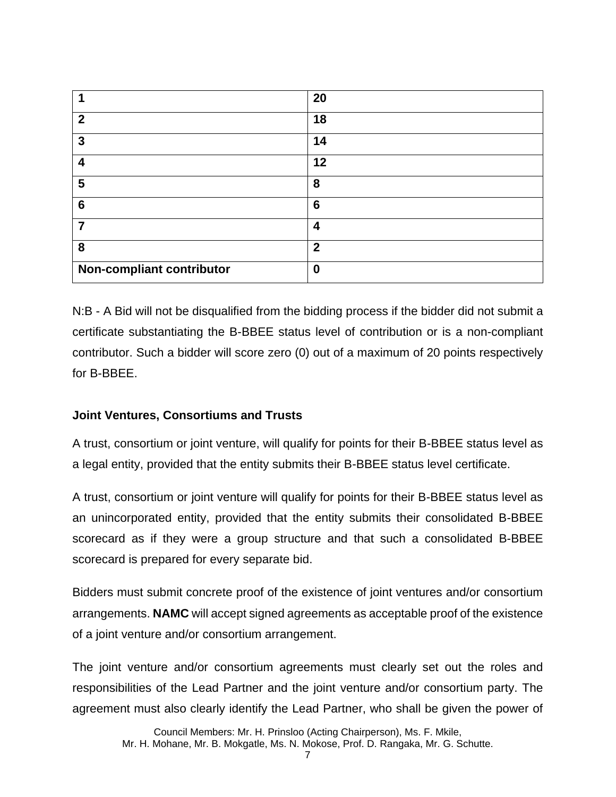|                           | 20               |
|---------------------------|------------------|
| $\mathbf{2}$              | 18               |
| 3                         | 14               |
| 4                         | 12               |
| 5                         | 8                |
| $6\phantom{1}6$           | $6\phantom{1}6$  |
| 7                         | 4                |
| 8                         | $\overline{2}$   |
| Non-compliant contributor | $\boldsymbol{0}$ |

N:B - A Bid will not be disqualified from the bidding process if the bidder did not submit a certificate substantiating the B-BBEE status level of contribution or is a non-compliant contributor. Such a bidder will score zero (0) out of a maximum of 20 points respectively for B-BBEE.

### **Joint Ventures, Consortiums and Trusts**

A trust, consortium or joint venture, will qualify for points for their B-BBEE status level as a legal entity, provided that the entity submits their B-BBEE status level certificate.

A trust, consortium or joint venture will qualify for points for their B-BBEE status level as an unincorporated entity, provided that the entity submits their consolidated B-BBEE scorecard as if they were a group structure and that such a consolidated B-BBEE scorecard is prepared for every separate bid.

Bidders must submit concrete proof of the existence of joint ventures and/or consortium arrangements. **NAMC** will accept signed agreements as acceptable proof of the existence of a joint venture and/or consortium arrangement.

The joint venture and/or consortium agreements must clearly set out the roles and responsibilities of the Lead Partner and the joint venture and/or consortium party. The agreement must also clearly identify the Lead Partner, who shall be given the power of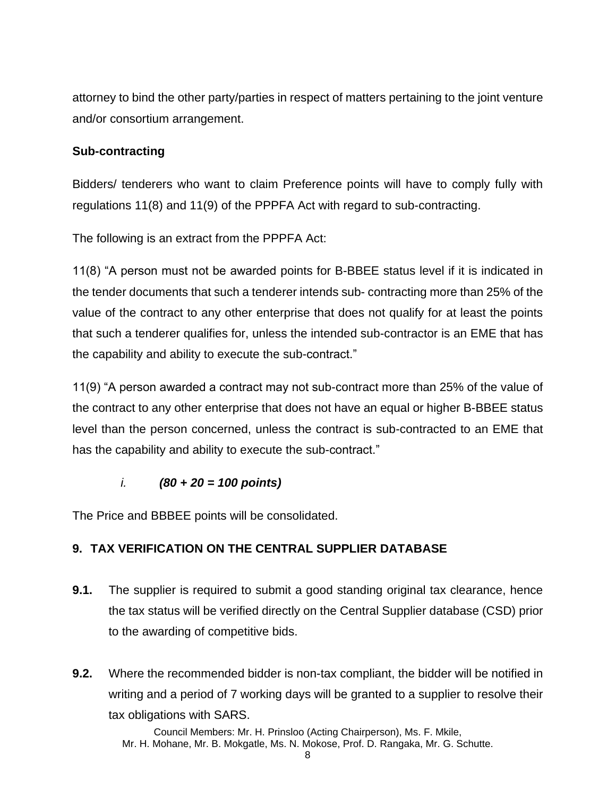attorney to bind the other party/parties in respect of matters pertaining to the joint venture and/or consortium arrangement.

### **Sub-contracting**

Bidders/ tenderers who want to claim Preference points will have to comply fully with regulations 11(8) and 11(9) of the PPPFA Act with regard to sub-contracting.

The following is an extract from the PPPFA Act:

11(8) "A person must not be awarded points for B-BBEE status level if it is indicated in the tender documents that such a tenderer intends sub- contracting more than 25% of the value of the contract to any other enterprise that does not qualify for at least the points that such a tenderer qualifies for, unless the intended sub-contractor is an EME that has the capability and ability to execute the sub-contract."

11(9) "A person awarded a contract may not sub-contract more than 25% of the value of the contract to any other enterprise that does not have an equal or higher B-BBEE status level than the person concerned, unless the contract is sub-contracted to an EME that has the capability and ability to execute the sub-contract."

### *i. (80 + 20 = 100 points)*

The Price and BBBEE points will be consolidated.

# **9. TAX VERIFICATION ON THE CENTRAL SUPPLIER DATABASE**

- **9.1.** The supplier is required to submit a good standing original tax clearance, hence the tax status will be verified directly on the Central Supplier database (CSD) prior to the awarding of competitive bids.
- **9.2.** Where the recommended bidder is non-tax compliant, the bidder will be notified in writing and a period of 7 working days will be granted to a supplier to resolve their tax obligations with SARS.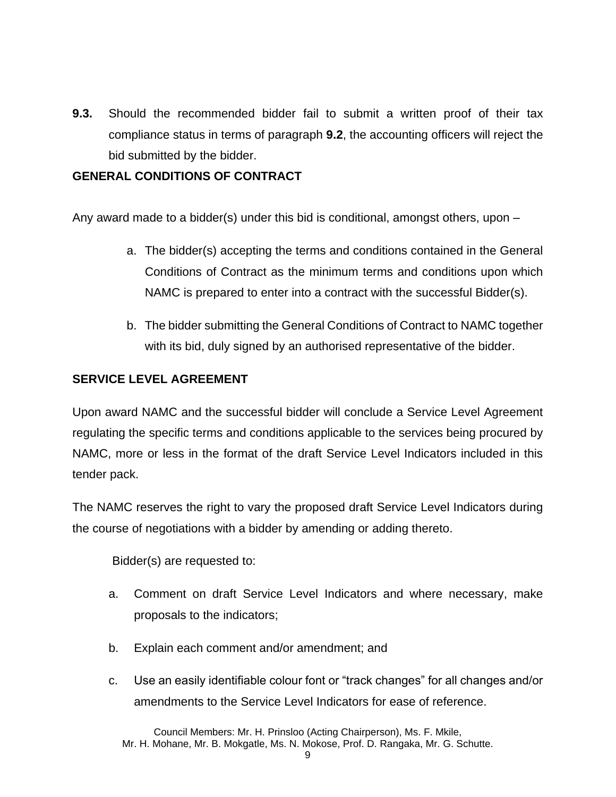**9.3.** Should the recommended bidder fail to submit a written proof of their tax compliance status in terms of paragraph **9.2**, the accounting officers will reject the bid submitted by the bidder.

## **GENERAL CONDITIONS OF CONTRACT**

Any award made to a bidder(s) under this bid is conditional, amongst others, upon –

- a. The bidder(s) accepting the terms and conditions contained in the General Conditions of Contract as the minimum terms and conditions upon which NAMC is prepared to enter into a contract with the successful Bidder(s).
- b. The bidder submitting the General Conditions of Contract to NAMC together with its bid, duly signed by an authorised representative of the bidder.

### **SERVICE LEVEL AGREEMENT**

Upon award NAMC and the successful bidder will conclude a Service Level Agreement regulating the specific terms and conditions applicable to the services being procured by NAMC, more or less in the format of the draft Service Level Indicators included in this tender pack.

The NAMC reserves the right to vary the proposed draft Service Level Indicators during the course of negotiations with a bidder by amending or adding thereto.

Bidder(s) are requested to:

- a. Comment on draft Service Level Indicators and where necessary, make proposals to the indicators;
- b. Explain each comment and/or amendment; and
- c. Use an easily identifiable colour font or "track changes" for all changes and/or amendments to the Service Level Indicators for ease of reference.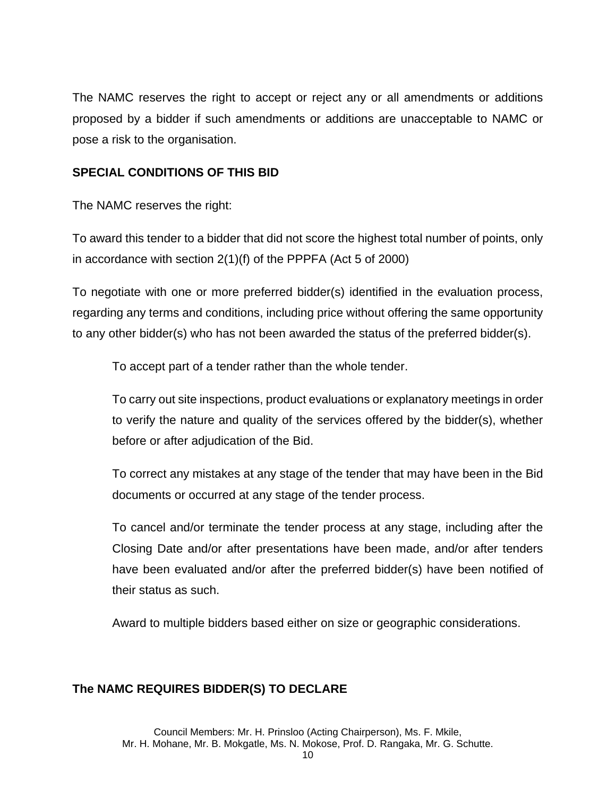The NAMC reserves the right to accept or reject any or all amendments or additions proposed by a bidder if such amendments or additions are unacceptable to NAMC or pose a risk to the organisation.

#### **SPECIAL CONDITIONS OF THIS BID**

The NAMC reserves the right:

To award this tender to a bidder that did not score the highest total number of points, only in accordance with section 2(1)(f) of the PPPFA (Act 5 of 2000)

To negotiate with one or more preferred bidder(s) identified in the evaluation process, regarding any terms and conditions, including price without offering the same opportunity to any other bidder(s) who has not been awarded the status of the preferred bidder(s).

To accept part of a tender rather than the whole tender.

To carry out site inspections, product evaluations or explanatory meetings in order to verify the nature and quality of the services offered by the bidder(s), whether before or after adjudication of the Bid.

To correct any mistakes at any stage of the tender that may have been in the Bid documents or occurred at any stage of the tender process.

To cancel and/or terminate the tender process at any stage, including after the Closing Date and/or after presentations have been made, and/or after tenders have been evaluated and/or after the preferred bidder(s) have been notified of their status as such.

Award to multiple bidders based either on size or geographic considerations.

### **The NAMC REQUIRES BIDDER(S) TO DECLARE**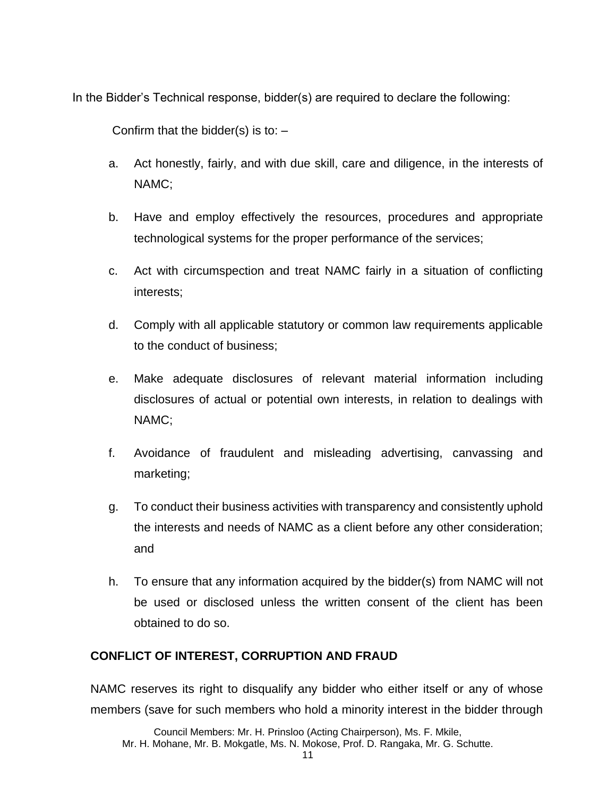In the Bidder's Technical response, bidder(s) are required to declare the following:

Confirm that the bidder(s) is to:  $-$ 

- a. Act honestly, fairly, and with due skill, care and diligence, in the interests of NAMC;
- b. Have and employ effectively the resources, procedures and appropriate technological systems for the proper performance of the services;
- c. Act with circumspection and treat NAMC fairly in a situation of conflicting interests;
- d. Comply with all applicable statutory or common law requirements applicable to the conduct of business;
- e. Make adequate disclosures of relevant material information including disclosures of actual or potential own interests, in relation to dealings with NAMC;
- f. Avoidance of fraudulent and misleading advertising, canvassing and marketing;
- g. To conduct their business activities with transparency and consistently uphold the interests and needs of NAMC as a client before any other consideration; and
- h. To ensure that any information acquired by the bidder(s) from NAMC will not be used or disclosed unless the written consent of the client has been obtained to do so.

# **CONFLICT OF INTEREST, CORRUPTION AND FRAUD**

NAMC reserves its right to disqualify any bidder who either itself or any of whose members (save for such members who hold a minority interest in the bidder through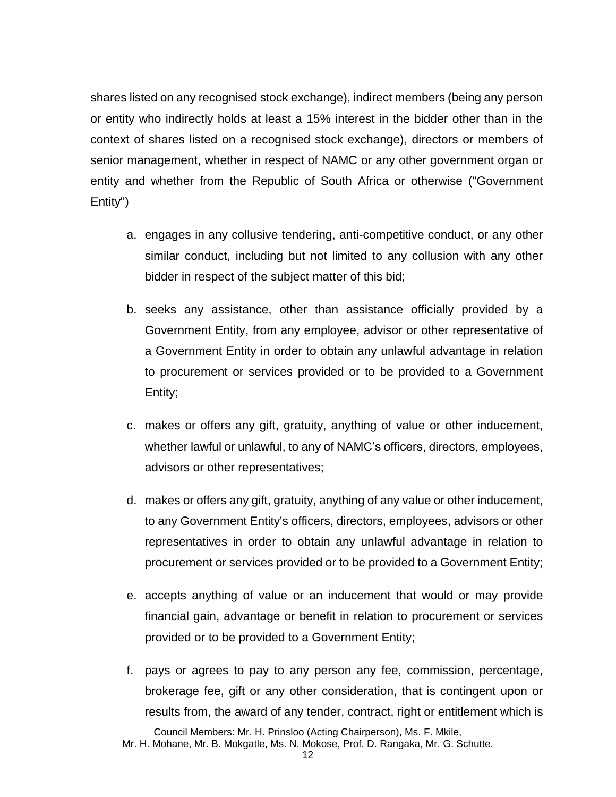shares listed on any recognised stock exchange), indirect members (being any person or entity who indirectly holds at least a 15% interest in the bidder other than in the context of shares listed on a recognised stock exchange), directors or members of senior management, whether in respect of NAMC or any other government organ or entity and whether from the Republic of South Africa or otherwise ("Government Entity")

- a. engages in any collusive tendering, anti-competitive conduct, or any other similar conduct, including but not limited to any collusion with any other bidder in respect of the subject matter of this bid;
- b. seeks any assistance, other than assistance officially provided by a Government Entity, from any employee, advisor or other representative of a Government Entity in order to obtain any unlawful advantage in relation to procurement or services provided or to be provided to a Government Entity;
- c. makes or offers any gift, gratuity, anything of value or other inducement, whether lawful or unlawful, to any of NAMC's officers, directors, employees, advisors or other representatives;
- d. makes or offers any gift, gratuity, anything of any value or other inducement, to any Government Entity's officers, directors, employees, advisors or other representatives in order to obtain any unlawful advantage in relation to procurement or services provided or to be provided to a Government Entity;
- e. accepts anything of value or an inducement that would or may provide financial gain, advantage or benefit in relation to procurement or services provided or to be provided to a Government Entity;
- f. pays or agrees to pay to any person any fee, commission, percentage, brokerage fee, gift or any other consideration, that is contingent upon or results from, the award of any tender, contract, right or entitlement which is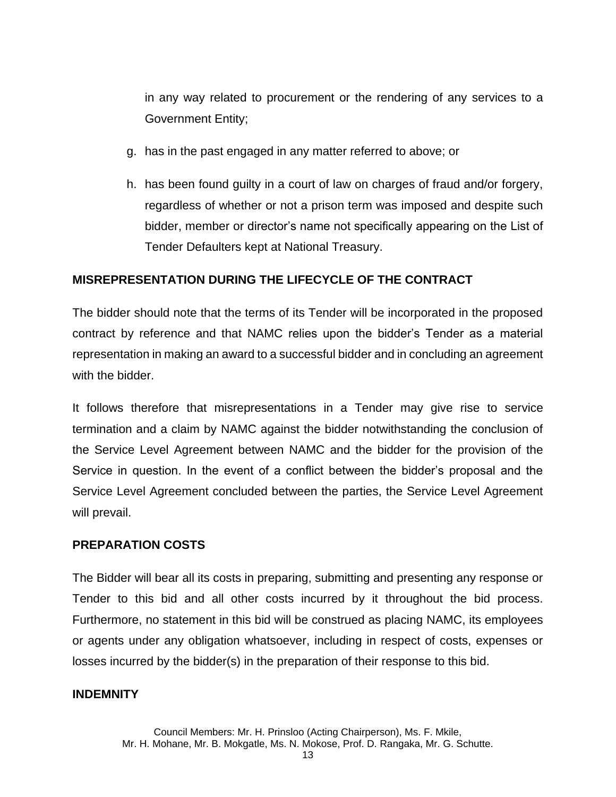in any way related to procurement or the rendering of any services to a Government Entity;

- g. has in the past engaged in any matter referred to above; or
- h. has been found guilty in a court of law on charges of fraud and/or forgery, regardless of whether or not a prison term was imposed and despite such bidder, member or director's name not specifically appearing on the List of Tender Defaulters kept at National Treasury.

#### **MISREPRESENTATION DURING THE LIFECYCLE OF THE CONTRACT**

The bidder should note that the terms of its Tender will be incorporated in the proposed contract by reference and that NAMC relies upon the bidder's Tender as a material representation in making an award to a successful bidder and in concluding an agreement with the bidder.

It follows therefore that misrepresentations in a Tender may give rise to service termination and a claim by NAMC against the bidder notwithstanding the conclusion of the Service Level Agreement between NAMC and the bidder for the provision of the Service in question. In the event of a conflict between the bidder's proposal and the Service Level Agreement concluded between the parties, the Service Level Agreement will prevail.

#### **PREPARATION COSTS**

The Bidder will bear all its costs in preparing, submitting and presenting any response or Tender to this bid and all other costs incurred by it throughout the bid process. Furthermore, no statement in this bid will be construed as placing NAMC, its employees or agents under any obligation whatsoever, including in respect of costs, expenses or losses incurred by the bidder(s) in the preparation of their response to this bid.

#### **INDEMNITY**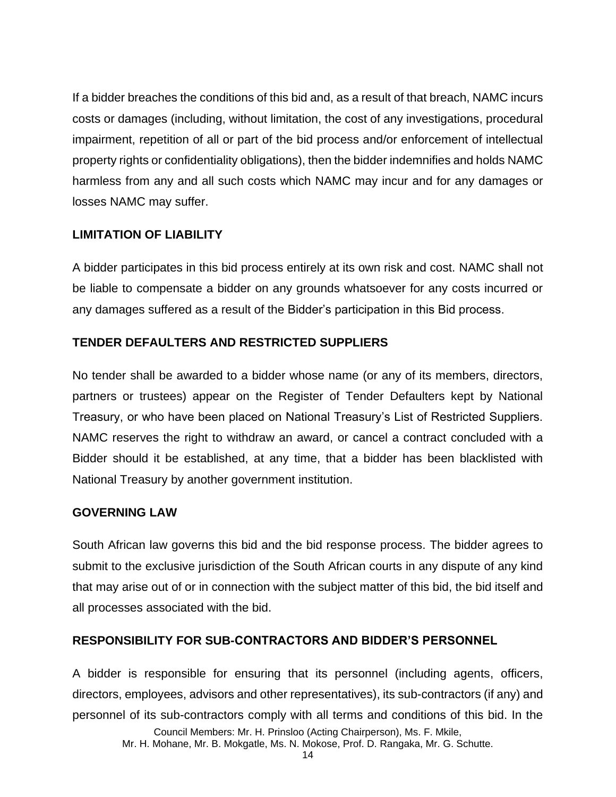If a bidder breaches the conditions of this bid and, as a result of that breach, NAMC incurs costs or damages (including, without limitation, the cost of any investigations, procedural impairment, repetition of all or part of the bid process and/or enforcement of intellectual property rights or confidentiality obligations), then the bidder indemnifies and holds NAMC harmless from any and all such costs which NAMC may incur and for any damages or losses NAMC may suffer.

#### **LIMITATION OF LIABILITY**

A bidder participates in this bid process entirely at its own risk and cost. NAMC shall not be liable to compensate a bidder on any grounds whatsoever for any costs incurred or any damages suffered as a result of the Bidder's participation in this Bid process.

### **TENDER DEFAULTERS AND RESTRICTED SUPPLIERS**

No tender shall be awarded to a bidder whose name (or any of its members, directors, partners or trustees) appear on the Register of Tender Defaulters kept by National Treasury, or who have been placed on National Treasury's List of Restricted Suppliers. NAMC reserves the right to withdraw an award, or cancel a contract concluded with a Bidder should it be established, at any time, that a bidder has been blacklisted with National Treasury by another government institution.

#### **GOVERNING LAW**

South African law governs this bid and the bid response process. The bidder agrees to submit to the exclusive jurisdiction of the South African courts in any dispute of any kind that may arise out of or in connection with the subject matter of this bid, the bid itself and all processes associated with the bid.

### **RESPONSIBILITY FOR SUB-CONTRACTORS AND BIDDER'S PERSONNEL**

A bidder is responsible for ensuring that its personnel (including agents, officers, directors, employees, advisors and other representatives), its sub-contractors (if any) and personnel of its sub-contractors comply with all terms and conditions of this bid. In the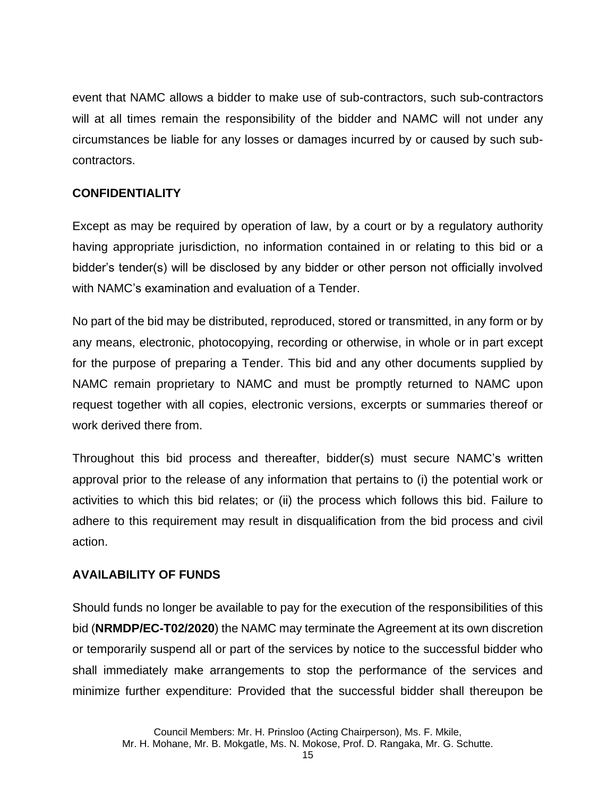event that NAMC allows a bidder to make use of sub-contractors, such sub-contractors will at all times remain the responsibility of the bidder and NAMC will not under any circumstances be liable for any losses or damages incurred by or caused by such subcontractors.

## **CONFIDENTIALITY**

Except as may be required by operation of law, by a court or by a regulatory authority having appropriate jurisdiction, no information contained in or relating to this bid or a bidder's tender(s) will be disclosed by any bidder or other person not officially involved with NAMC's examination and evaluation of a Tender.

No part of the bid may be distributed, reproduced, stored or transmitted, in any form or by any means, electronic, photocopying, recording or otherwise, in whole or in part except for the purpose of preparing a Tender. This bid and any other documents supplied by NAMC remain proprietary to NAMC and must be promptly returned to NAMC upon request together with all copies, electronic versions, excerpts or summaries thereof or work derived there from.

Throughout this bid process and thereafter, bidder(s) must secure NAMC's written approval prior to the release of any information that pertains to (i) the potential work or activities to which this bid relates; or (ii) the process which follows this bid. Failure to adhere to this requirement may result in disqualification from the bid process and civil action.

### **AVAILABILITY OF FUNDS**

Should funds no longer be available to pay for the execution of the responsibilities of this bid (**NRMDP/EC-T02/2020**) the NAMC may terminate the Agreement at its own discretion or temporarily suspend all or part of the services by notice to the successful bidder who shall immediately make arrangements to stop the performance of the services and minimize further expenditure: Provided that the successful bidder shall thereupon be